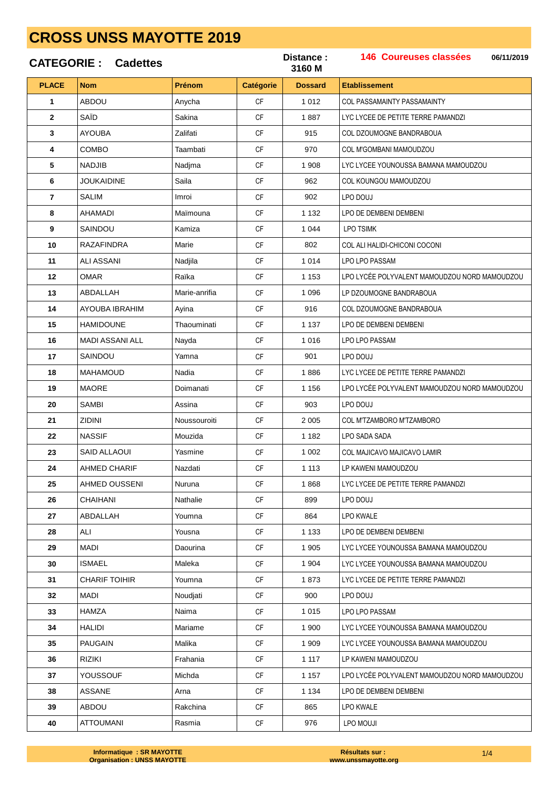|              | <b>CATEGORIE: Cadettes</b> |               |           | Distance :<br>3160 M | 146 Coureuses classées<br>06/11/2019          |
|--------------|----------------------------|---------------|-----------|----------------------|-----------------------------------------------|
| <b>PLACE</b> | <b>Nom</b>                 | Prénom        | Catégorie | <b>Dossard</b>       | <b>Etablissement</b>                          |
| 1            | <b>ABDOU</b>               | Anycha        | <b>CF</b> | 1 0 1 2              | COL PASSAMAINTY PASSAMAINTY                   |
| $\mathbf{2}$ | SAÏD                       | Sakina        | <b>CF</b> | 1887                 | LYC LYCEE DE PETITE TERRE PAMANDZI            |
| 3            | <b>AYOUBA</b>              | Zalifati      | <b>CF</b> | 915                  | COL DZOUMOGNE BANDRABOUA                      |
| 4            | <b>COMBO</b>               | Taambati      | <b>CF</b> | 970                  | COL M'GOMBANI MAMOUDZOU                       |
| 5            | <b>NADJIB</b>              | Nadjma        | CF        | 1 908                | LYC LYCEE YOUNOUSSA BAMANA MAMOUDZOU          |
| 6            | <b>JOUKAIDINE</b>          | Saila         | <b>CF</b> | 962                  | COL KOUNGOU MAMOUDZOU                         |
| 7            | <b>SALIM</b>               | Imroi         | <b>CF</b> | 902                  | LPO DOUJ                                      |
| 8            | AHAMADI                    | Maïmouna      | <b>CF</b> | 1 1 3 2              | LPO DE DEMBENI DEMBENI                        |
| 9            | SAINDOU                    | Kamiza        | <b>CF</b> | 1 0 4 4              | <b>LPO TSIMK</b>                              |
| 10           | RAZAFINDRA                 | Marie         | <b>CF</b> | 802                  | COL ALI HALIDI-CHICONI COCONI                 |
| 11           | ALI ASSANI                 | Nadjila       | CF        | 1 0 1 4              | LPO LPO PASSAM                                |
| 12           | <b>OMAR</b>                | Raïka         | <b>CF</b> | 1 1 5 3              | LPO LYCÉE POLYVALENT MAMOUDZOU NORD MAMOUDZOU |
| 13           | ABDALLAH                   | Marie-anrifia | <b>CF</b> | 1 0 9 6              | LP DZOUMOGNE BANDRABOUA                       |
| 14           | AYOUBA IBRAHIM             | Ayina         | <b>CF</b> | 916                  | COL DZOUMOGNE BANDRABOUA                      |
| 15           | <b>HAMIDOUNE</b>           | Thaouminati   | <b>CF</b> | 1 1 3 7              | LPO DE DEMBENI DEMBENI                        |
| 16           | MADI ASSANI ALL            | Nayda         | <b>CF</b> | 1016                 | LPO LPO PASSAM                                |
| 17           | SAINDOU                    | Yamna         | CF        | 901                  | LPO DOUJ                                      |
| 18           | MAHAMOUD                   | Nadia         | <b>CF</b> | 1886                 | LYC LYCEE DE PETITE TERRE PAMANDZI            |
| 19           | <b>MAORE</b>               | Doimanati     | <b>CF</b> | 1 1 5 6              | LPO LYCÉE POLYVALENT MAMOUDZOU NORD MAMOUDZOU |
| 20           | <b>SAMBI</b>               | Assina        | <b>CF</b> | 903                  | LPO DOUJ                                      |
| 21           | ZIDINI                     | Noussouroiti  | <b>CF</b> | 2 0 0 5              | COL M'TZAMBORO M'TZAMBORO                     |
| 22           | <b>NASSIF</b>              | Mouzida       | <b>CF</b> | 1 1 8 2              | LPO SADA SADA                                 |
| 23           | <b>SAID ALLAOUI</b>        | Yasmine       | СF        | 1 0 0 2              | COL MAJICAVO MAJICAVO LAMIR                   |
| 24           | AHMED CHARIF               | Nazdati       | <b>CF</b> | 1 1 1 3              | LP KAWENI MAMOUDZOU                           |
| 25           | AHMED OUSSENI              | Nuruna        | <b>CF</b> | 1868                 | LYC LYCEE DE PETITE TERRE PAMANDZI            |
| 26           | CHAIHANI                   | Nathalie      | <b>CF</b> | 899                  | LPO DOUJ                                      |
| 27           | ABDALLAH                   | Youmna        | <b>CF</b> | 864                  | LPO KWALE                                     |
| 28           | ALI                        | Yousna        | <b>CF</b> | 1 1 3 3              | LPO DE DEMBENI DEMBENI                        |
| 29           | MADI                       | Daourina      | CF        | 1 9 0 5              | LYC LYCEE YOUNOUSSA BAMANA MAMOUDZOU          |
| 30           | <b>ISMAEL</b>              | Maleka        | <b>CF</b> | 1 904                | LYC LYCEE YOUNOUSSA BAMANA MAMOUDZOU          |
| 31           | <b>CHARIF TOIHIR</b>       | Youmna        | <b>CF</b> | 1873                 | LYC LYCEE DE PETITE TERRE PAMANDZI            |
| 32           | <b>MADI</b>                | Noudjati      | <b>CF</b> | 900                  | LPO DOUJ                                      |
| 33           | HAMZA                      | Naima         | <b>CF</b> | 1 0 1 5              | LPO LPO PASSAM                                |
| 34           | HALIDI                     | Mariame       | <b>CF</b> | 1 900                | LYC LYCEE YOUNOUSSA BAMANA MAMOUDZOU          |
| 35           | <b>PAUGAIN</b>             | Malika        | CF.       | 1 909                | LYC LYCEE YOUNOUSSA BAMANA MAMOUDZOU          |
| 36           | <b>RIZIKI</b>              | Frahania      | CF        | 1 1 1 7              | LP KAWENI MAMOUDZOU                           |
| 37           | YOUSSOUF                   | Michda        | <b>CF</b> | 1 1 5 7              | LPO LYCÉE POLYVALENT MAMOUDZOU NORD MAMOUDZOU |
| 38           | ASSANE                     | Arna          | CF.       | 1 1 3 4              | LPO DE DEMBENI DEMBENI                        |
| 39           | <b>ABDOU</b>               | Rakchina      | <b>CF</b> | 865                  | LPO KWALE                                     |
| 40           | ATTOUMANI                  | Rasmia        | <b>CF</b> | 976                  | LPO MOUJL                                     |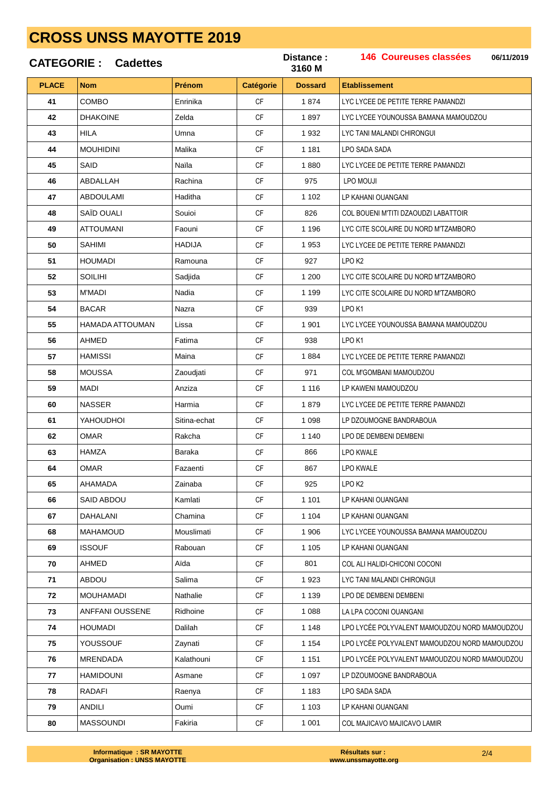|              | <b>CATEGORIE: Cadettes</b> |               |                  | Distance:<br>3160 M | 146 Coureuses classées<br>06/11/2019          |
|--------------|----------------------------|---------------|------------------|---------------------|-----------------------------------------------|
| <b>PLACE</b> | <b>Nom</b>                 | <b>Prénom</b> | <b>Catégorie</b> | <b>Dossard</b>      | <b>Etablissement</b>                          |
| 41           | COMBO                      | Enrinika      | <b>CF</b>        | 1874                | LYC LYCEE DE PETITE TERRE PAMANDZI            |
| 42           | <b>DHAKOINE</b>            | Zelda         | <b>CF</b>        | 1897                | LYC LYCEE YOUNOUSSA BAMANA MAMOUDZOU          |
| 43           | <b>HILA</b>                | Umna          | CF               | 1932                | LYC TANI MALANDI CHIRONGUI                    |
| 44           | <b>MOUHIDINI</b>           | Malika        | <b>CF</b>        | 1 1 8 1             | LPO SADA SADA                                 |
| 45           | SAID                       | Naila         | <b>CF</b>        | 1880                | LYC LYCEE DE PETITE TERRE PAMANDZI            |
| 46           | ABDALLAH                   | Rachina       | <b>CF</b>        | 975                 | LPO MOUJI                                     |
| 47           | ABDOULAMI                  | Haditha       | <b>CF</b>        | 1 1 0 2             | LP KAHANI OUANGANI                            |
| 48           | SAÏD OUALI                 | Souioi        | <b>CF</b>        | 826                 | COL BOUENI M'TITI DZAOUDZI LABATTOIR          |
| 49           | ATTOUMANI                  | Faouni        | <b>CF</b>        | 1 1 9 6             | LYC CITE SCOLAIRE DU NORD M'TZAMBORO          |
| 50           | SAHIMI                     | HADIJA        | <b>CF</b>        | 1953                | LYC LYCEE DE PETITE TERRE PAMANDZI            |
| 51           | HOUMADI                    | Ramouna       | <b>CF</b>        | 927                 | LPO <sub>K2</sub>                             |
| 52           | <b>SOILIHI</b>             | Sadjida       | <b>CF</b>        | 1 200               | LYC CITE SCOLAIRE DU NORD M'TZAMBORO          |
| 53           | <b>M'MADI</b>              | Nadia         | <b>CF</b>        | 1 1 9 9             | LYC CITE SCOLAIRE DU NORD M'TZAMBORO          |
| 54           | <b>BACAR</b>               | Nazra         | <b>CF</b>        | 939                 | LPO K1                                        |
| 55           | HAMADA ATTOUMAN            | Lissa         | CF               | 1 901               | LYC LYCEE YOUNOUSSA BAMANA MAMOUDZOU          |
| 56           | AHMED                      | Fatima        | <b>CF</b>        | 938                 | LPO <sub>K1</sub>                             |
| 57           | HAMISSI                    | Maina         | <b>CF</b>        | 1884                | LYC LYCEE DE PETITE TERRE PAMANDZI            |
| 58           | <b>MOUSSA</b>              | Zaoudjati     | <b>CF</b>        | 971                 | COL M'GOMBANI MAMOUDZOU                       |
| 59           | MADI                       | Anziza        | <b>CF</b>        | 1 1 1 6             | LP KAWENI MAMOUDZOU                           |
| 60           | <b>NASSER</b>              | Harmia        | <b>CF</b>        | 1879                | LYC LYCEE DE PETITE TERRE PAMANDZI            |
| 61           | YAHOUDHOI                  | Sitina-echat  | CF               | 1 0 9 8             | LP DZOUMOGNE BANDRABOUA                       |
| 62           | OMAR                       | Rakcha        | CF               | 1 1 4 0             | LPO DE DEMBENI DEMBENI                        |
| 63           | <b>HAMZA</b>               | Baraka        | <b>CF</b>        | 866                 | <b>LPO KWALE</b>                              |
| 64           | <b>OMAR</b>                | Fazaenti      | <b>CF</b>        | 867                 | LPO KWALE                                     |
| 65           | AHAMADA                    | Zainaba       | <b>CF</b>        | 925                 | LPO <sub>K2</sub>                             |
| 66           | SAID ABDOU                 | Kamlati       | <b>CF</b>        | 1 1 0 1             | LP KAHANI OUANGANI                            |
| 67           | DAHALANI                   | Chamina       | <b>CF</b>        | 1 1 0 4             | LP KAHANI OUANGANI                            |
| 68           | MAHAMOUD                   | Mouslimati    | <b>CF</b>        | 1 906               | LYC LYCEE YOUNOUSSA BAMANA MAMOUDZOU          |
| 69           | <b>ISSOUF</b>              | Rabouan       | <b>CF</b>        | 1 1 0 5             | LP KAHANI OUANGANI                            |
| 70           | AHMED                      | Aïda          | <b>CF</b>        | 801                 | COL ALI HALIDI-CHICONI COCONI                 |
| 71           | ABDOU                      | Salima        | <b>CF</b>        | 1923                | LYC TANI MALANDI CHIRONGUI                    |
| 72           | MOUHAMADI                  | Nathalie      | <b>CF</b>        | 1 1 3 9             | LPO DE DEMBENI DEMBENI                        |
| 73           | ANFFANI OUSSENE            | Ridhoine      | <b>CF</b>        | 1 0 8 8             | LA LPA COCONI OUANGANI                        |
| 74           | HOUMADI                    | Dalilah       | <b>CF</b>        | 1 1 4 8             | LPO LYCÉE POLYVALENT MAMOUDZOU NORD MAMOUDZOU |
| 75           | YOUSSOUF                   | Zaynati       | CF               | 1 1 5 4             | LPO LYCÉE POLYVALENT MAMOUDZOU NORD MAMOUDZOU |
| 76           | MRENDADA                   | Kalathouni    | <b>CF</b>        | 1 1 5 1             | LPO LYCÉE POLYVALENT MAMOUDZOU NORD MAMOUDZOU |
| 77           | HAMIDOUNI                  | Asmane        | <b>CF</b>        | 1 0 9 7             | LP DZOUMOGNE BANDRABOUA                       |
| 78           | <b>RADAFI</b>              | Raenya        | <b>CF</b>        | 1 1 8 3             | LPO SADA SADA                                 |
| 79           | <b>ANDILI</b>              | Oumi          | <b>CF</b>        | 1 1 0 3             | LP KAHANI OUANGANI                            |
| 80           | <b>MASSOUNDI</b>           | Fakiria       | <b>CF</b>        | 1 0 0 1             | COL MAJICAVO MAJICAVO LAMIR                   |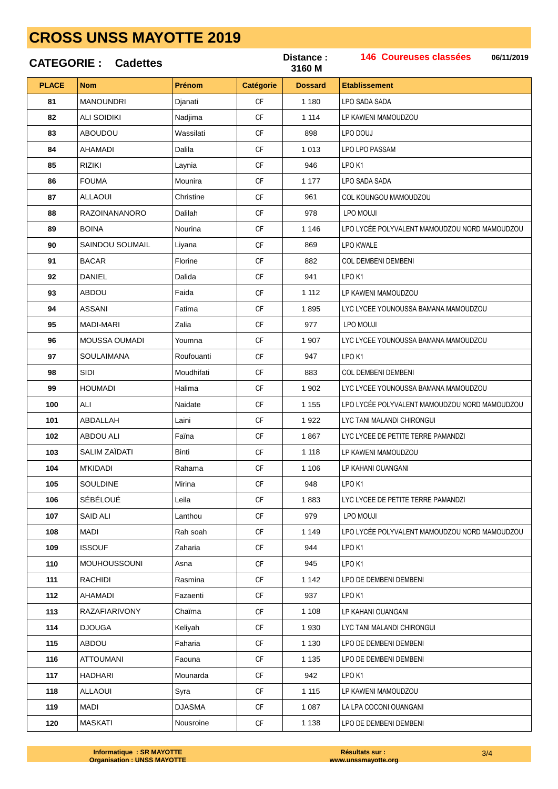|              | <b>CATEGORIE: Cadettes</b> |            |               | Distance:<br>3160 M | 146 Coureuses classées<br>06/11/2019          |
|--------------|----------------------------|------------|---------------|---------------------|-----------------------------------------------|
| <b>PLACE</b> | <b>Nom</b>                 | Prénom     | Catégorie     | <b>Dossard</b>      | <b>Etablissement</b>                          |
| 81           | <b>MANOUNDRI</b>           | Djanati    | <b>CF</b>     | 1 1 8 0             | LPO SADA SADA                                 |
| 82           | <b>ALI SOIDIKI</b>         | Nadjima    | CF            | 1 1 1 4             | LP KAWENI MAMOUDZOU                           |
| 83           | ABOUDOU                    | Wassilati  | <b>CF</b>     | 898                 | LPO DOUJ                                      |
| 84           | AHAMADI                    | Dalila     | СF            | 1 0 1 3             | <b>LPO LPO PASSAM</b>                         |
| 85           | RIZIKI                     | Laynia     | <b>CF</b>     | 946                 | LPO <sub>K1</sub>                             |
| 86           | <b>FOUMA</b>               | Mounira    | <b>CF</b>     | 1 1 7 7             | LPO SADA SADA                                 |
| 87           | <b>ALLAOUI</b>             | Christine  | <b>CF</b>     | 961                 | COL KOUNGOU MAMOUDZOU                         |
| 88           | <b>RAZOINANANORO</b>       | Dalilah    | <b>CF</b>     | 978                 | LPO MOUJI                                     |
| 89           | <b>BOINA</b>               | Nourina    | <b>CF</b>     | 1 1 4 6             | LPO LYCÉE POLYVALENT MAMOUDZOU NORD MAMOUDZOU |
| 90           | <b>SAINDOU SOUMAIL</b>     | Liyana     | СF            | 869                 | LPO KWALE                                     |
| 91           | <b>BACAR</b>               | Florine    | <b>CF</b>     | 882                 | <b>COL DEMBENI DEMBENI</b>                    |
| 92           | DANIEL                     | Dalida     | <b>CF</b>     | 941                 | LPO <sub>K1</sub>                             |
| 93           | <b>ABDOU</b>               | Faida      | <b>CF</b>     | 1 1 1 2             | LP KAWENI MAMOUDZOU                           |
| 94           | <b>ASSANI</b>              | Fatima     | <b>CF</b>     | 1895                | LYC LYCEE YOUNOUSSA BAMANA MAMOUDZOU          |
| 95           | <b>MADI-MARI</b>           | Zalia      | <b>CF</b>     | 977                 | LPO MOUJI                                     |
| 96           | <b>MOUSSA OUMADI</b>       | Youmna     | CF            | 1 907               | LYC LYCEE YOUNOUSSA BAMANA MAMOUDZOU          |
| 97           | <b>SOULAIMANA</b>          | Roufouanti | <b>CF</b>     | 947                 | LPO <sub>K1</sub>                             |
| 98           | SIDI                       | Moudhifati | <b>CF</b>     | 883                 | COL DEMBENI DEMBENI                           |
| 99           | <b>HOUMADI</b>             | Halima     | <b>CF</b>     | 1 902               | LYC LYCEE YOUNOUSSA BAMANA MAMOUDZOU          |
| 100          | ALI                        | Naidate    | <b>CF</b>     | 1 1 5 5             | LPO LYCÉE POLYVALENT MAMOUDZOU NORD MAMOUDZOU |
| 101          | ABDALLAH                   | Laini      | <b>CF</b>     | 1922                | LYC TANI MALANDI CHIRONGUI                    |
| 102          | ABDOU ALI                  | Faina      | CF            | 1867                | LYC LYCEE DE PETITE TERRE PAMANDZI            |
| 103          | SALIM ZAÏDATI              | Binti      | CF            | 1 1 1 8             | LP KAWENI MAMOUDZOU                           |
| 104          | <b>M'KIDADI</b>            | Rahama     | $\mathsf{CF}$ | 1 1 0 6             | LP KAHANI OUANGANI                            |
| 105          | <b>SOULDINE</b>            | Mirina     | <b>CF</b>     | 948                 | LPO K1                                        |
| 106          | SÉBÉLOUÉ                   | Leila      | <b>CF</b>     | 1883                | LYC LYCEE DE PETITE TERRE PAMANDZI            |
| 107          | <b>SAID ALI</b>            | Lanthou    | <b>CF</b>     | 979                 | LPO MOUJI                                     |
| 108          | MADI                       | Rah soah   | CF            | 1 1 4 9             | LPO LYCÉE POLYVALENT MAMOUDZOU NORD MAMOUDZOU |
| 109          | <b>ISSOUF</b>              | Zaharia    | <b>CF</b>     | 944                 | LPO <sub>K1</sub>                             |
| 110          | <b>MOUHOUSSOUNI</b>        | Asna       | <b>CF</b>     | 945                 | LPO K1                                        |
| 111          | RACHIDI                    | Rasmina    | <b>CF</b>     | 1 1 4 2             | LPO DE DEMBENI DEMBENI                        |
| 112          | AHAMADI                    | Fazaenti   | <b>CF</b>     | 937                 | LPO K1                                        |
| 113          | <b>RAZAFIARIVONY</b>       | Chaïma     | <b>CF</b>     | 1 1 0 8             | LP KAHANI OUANGANI                            |
| 114          | <b>DJOUGA</b>              | Keliyah    | CF            | 1 9 3 0             | LYC TANI MALANDI CHIRONGUI                    |
| 115          | ABDOU                      | Faharia    | <b>CF</b>     | 1 1 3 0             | LPO DE DEMBENI DEMBENI                        |
| 116          | ATTOUMANI                  | Faouna     | <b>CF</b>     | 1 1 3 5             | LPO DE DEMBENI DEMBENI                        |
| 117          | HADHARI                    | Mounarda   | <b>CF</b>     | 942                 | LPO <sub>K1</sub>                             |
| 118          | <b>ALLAOUI</b>             | Syra       | СF            | 1 1 1 5             | LP KAWENI MAMOUDZOU                           |
| 119          | <b>MADI</b>                | DJASMA     | <b>CF</b>     | 1 0 8 7             | LA LPA COCONI OUANGANI                        |
| 120          | <b>MASKATI</b>             | Nousroine  | СF            | 1 1 3 8             | LPO DE DEMBENI DEMBENI                        |